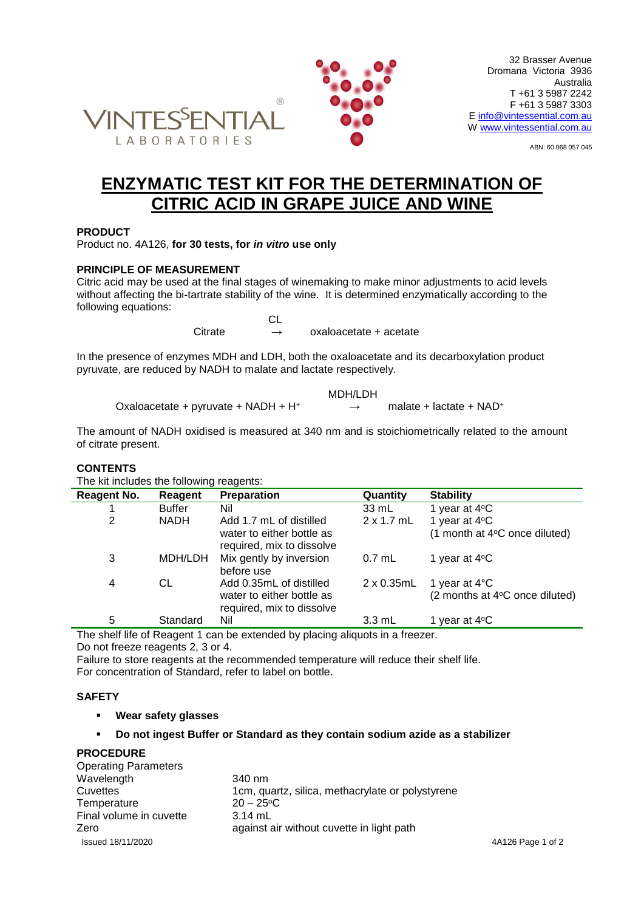



ABN: 60 068 057 045

# **ENZYMATIC TEST KIT FOR THE DETERMINATION OF CITRIC ACID IN GRAPE JUICE AND WINE**

# **PRODUCT**

Product no. 4A126, **for 30 tests, for** *in vitro* **use only**

## **PRINCIPLE OF MEASUREMENT**

Citric acid may be used at the final stages of winemaking to make minor adjustments to acid levels without affecting the bi-tartrate stability of the wine. It is determined enzymatically according to the following equations: CL

Citrate → oxaloacetate + acetate

In the presence of enzymes MDH and LDH, both the oxaloacetate and its decarboxylation product pyruvate, are reduced by NADH to malate and lactate respectively.

Oxaloacetate + pyruvate + NADH + H<sup>+</sup>  $\rightarrow$  malate + lactate + NAD<sup>+</sup>

MDH/LDH

The amount of NADH oxidised is measured at 340 nm and is stoichiometrically related to the amount of citrate present.

## **CONTENTS**

The kit includes the following reagents:

| The intended the following reagonto: |               |                                                                                   |                    |                                                           |  |  |  |
|--------------------------------------|---------------|-----------------------------------------------------------------------------------|--------------------|-----------------------------------------------------------|--|--|--|
| <b>Reagent No.</b>                   | Reagent       | Preparation                                                                       | Quantity           | <b>Stability</b>                                          |  |  |  |
|                                      | <b>Buffer</b> | Nil                                                                               | 33 mL              | 1 year at $4^{\circ}$ C                                   |  |  |  |
| 2                                    | <b>NADH</b>   | Add 1.7 mL of distilled                                                           | $2 \times 1.7$ mL  | 1 year at 4°C                                             |  |  |  |
|                                      |               | water to either bottle as<br>required, mix to dissolve                            |                    | (1 month at 4°C once diluted)                             |  |  |  |
| 3                                    | MDH/LDH       | Mix gently by inversion<br>before use                                             | $0.7$ mL           | 1 year at $4^{\circ}$ C                                   |  |  |  |
| 4                                    | CL            | Add 0.35mL of distilled<br>water to either bottle as<br>required, mix to dissolve | $2 \times 0.35$ mL | 1 year at $4^{\circ}$ C<br>(2 months at 4°C once diluted) |  |  |  |
| 5                                    | Standard      | Nil                                                                               | $3.3 \text{ mL}$   | 1 year at $4^{\circ}$ C                                   |  |  |  |

The shelf life of Reagent 1 can be extended by placing aliquots in a freezer. Do not freeze reagents 2, 3 or 4.

Failure to store reagents at the recommended temperature will reduce their shelf life. For concentration of Standard, refer to label on bottle.

# **SAFETY**

- **Wear safety glasses**
- **Do not ingest Buffer or Standard as they contain sodium azide as a stabilizer**

### **PROCEDURE**

| <b>Operating Parameters</b> |                                                  |                   |  |  |
|-----------------------------|--------------------------------------------------|-------------------|--|--|
| Wavelength                  | 340 nm                                           |                   |  |  |
| Cuvettes                    | 1cm, quartz, silica, methacrylate or polystyrene |                   |  |  |
| Temperature                 | $20 - 25$ °C                                     |                   |  |  |
| Final volume in cuvette     | $3.14$ mL                                        |                   |  |  |
| Zero                        | against air without cuvette in light path        |                   |  |  |
| Issued 18/11/2020           |                                                  | 4A126 Page 1 of 2 |  |  |